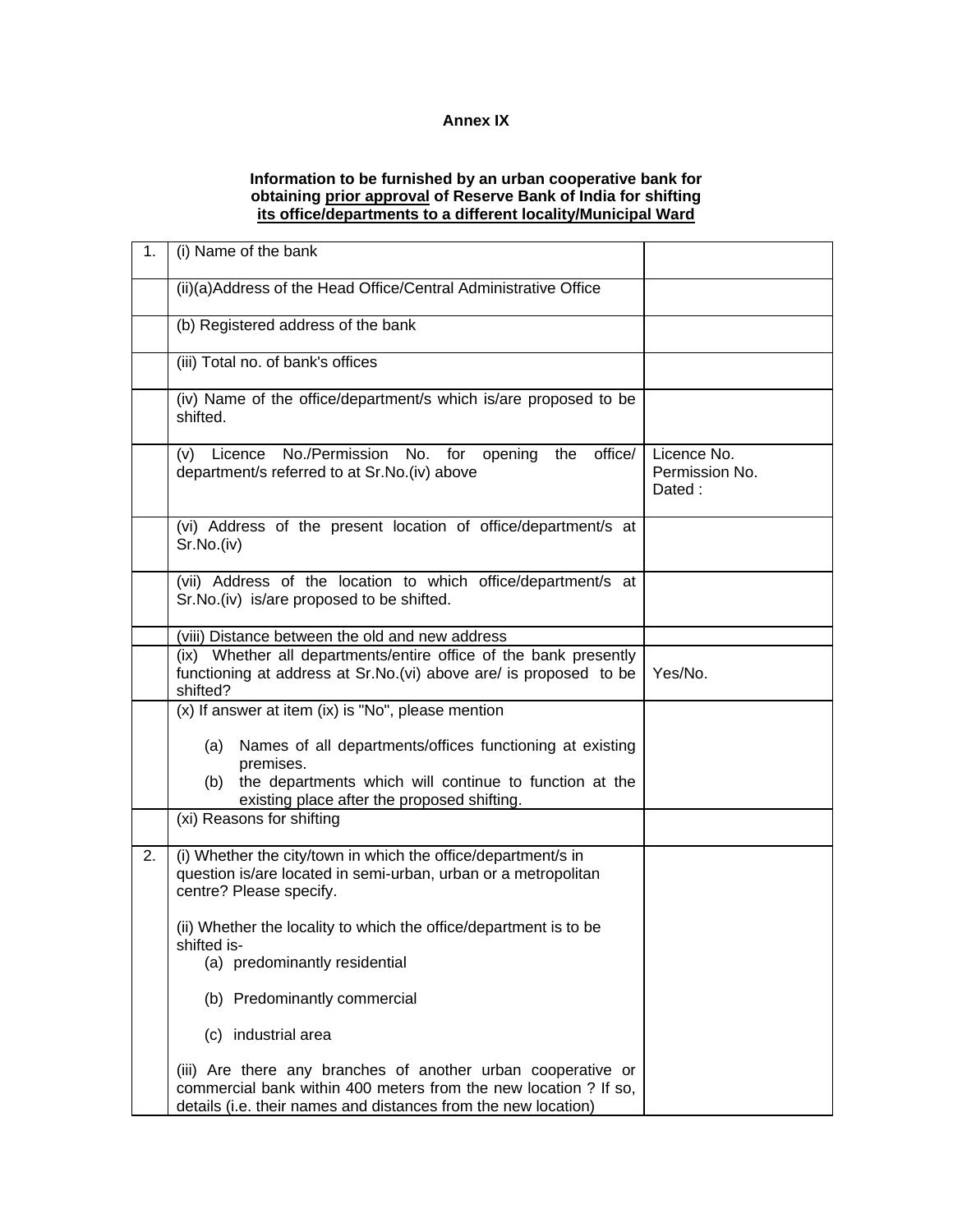## **Annex IX**

## **Information to be furnished by an urban cooperative bank for obtaining prior approval of Reserve Bank of India for shifting its office/departments to a different locality/Municipal Ward**

| 1. | (i) Name of the bank                                                                                                                                                                               |                                         |
|----|----------------------------------------------------------------------------------------------------------------------------------------------------------------------------------------------------|-----------------------------------------|
|    | (ii)(a)Address of the Head Office/Central Administrative Office                                                                                                                                    |                                         |
|    | (b) Registered address of the bank                                                                                                                                                                 |                                         |
|    | (iii) Total no. of bank's offices                                                                                                                                                                  |                                         |
|    | (iv) Name of the office/department/s which is/are proposed to be<br>shifted.                                                                                                                       |                                         |
|    | Licence No./Permission No. for opening<br>office/<br>the<br>(V)<br>department/s referred to at Sr.No.(iv) above                                                                                    | Licence No.<br>Permission No.<br>Dated: |
|    | (vi) Address of the present location of office/department/s at<br>Sr.No.(iv)                                                                                                                       |                                         |
|    | (vii) Address of the location to which office/department/s at<br>Sr.No.(iv) is/are proposed to be shifted.                                                                                         |                                         |
|    | (viii) Distance between the old and new address                                                                                                                                                    |                                         |
|    | (ix) Whether all departments/entire office of the bank presently<br>functioning at address at Sr.No.(vi) above are/ is proposed to be<br>shifted?                                                  | Yes/No.                                 |
|    | (x) If answer at item (ix) is "No", please mention                                                                                                                                                 |                                         |
|    | Names of all departments/offices functioning at existing<br>(a)<br>premises.                                                                                                                       |                                         |
|    | the departments which will continue to function at the<br>(b)<br>existing place after the proposed shifting.                                                                                       |                                         |
|    | (xi) Reasons for shifting                                                                                                                                                                          |                                         |
| 2. | (i) Whether the city/town in which the office/department/s in<br>question is/are located in semi-urban, urban or a metropolitan<br>centre? Please specify.                                         |                                         |
|    | (ii) Whether the locality to which the office/department is to be<br>shifted is-                                                                                                                   |                                         |
|    | (a) predominantly residential                                                                                                                                                                      |                                         |
|    | (b) Predominantly commercial                                                                                                                                                                       |                                         |
|    | (c) industrial area                                                                                                                                                                                |                                         |
|    | (iii) Are there any branches of another urban cooperative or<br>commercial bank within 400 meters from the new location ? If so,<br>details (i.e. their names and distances from the new location) |                                         |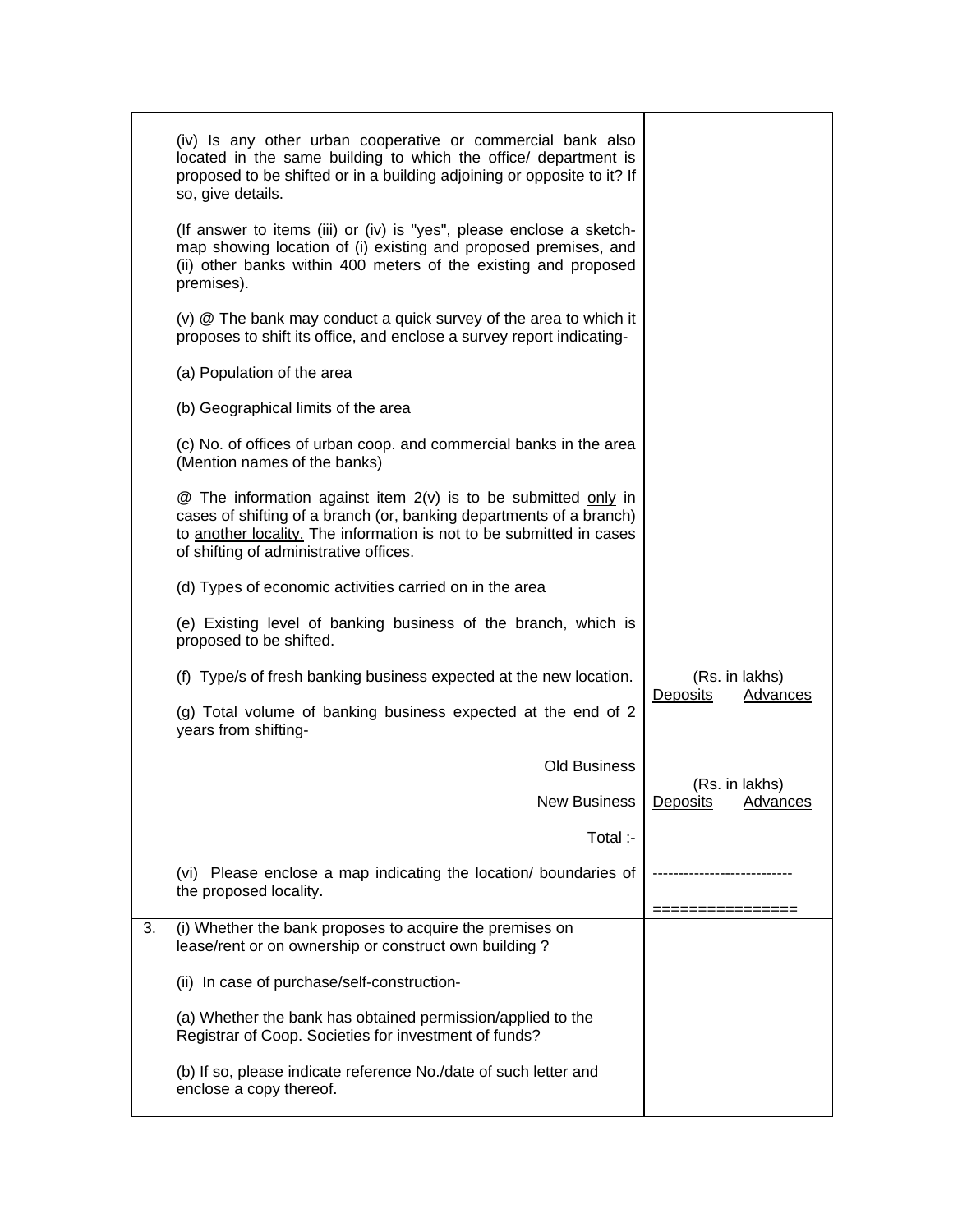|    | (iv) Is any other urban cooperative or commercial bank also<br>located in the same building to which the office/ department is<br>proposed to be shifted or in a building adjoining or opposite to it? If<br>so, give details.                              |                                        |
|----|-------------------------------------------------------------------------------------------------------------------------------------------------------------------------------------------------------------------------------------------------------------|----------------------------------------|
|    | (If answer to items (iii) or (iv) is "yes", please enclose a sketch-<br>map showing location of (i) existing and proposed premises, and<br>(ii) other banks within 400 meters of the existing and proposed<br>premises).                                    |                                        |
|    | (v) @ The bank may conduct a quick survey of the area to which it<br>proposes to shift its office, and enclose a survey report indicating-                                                                                                                  |                                        |
|    | (a) Population of the area                                                                                                                                                                                                                                  |                                        |
|    | (b) Geographical limits of the area                                                                                                                                                                                                                         |                                        |
|    | (c) No. of offices of urban coop. and commercial banks in the area<br>(Mention names of the banks)                                                                                                                                                          |                                        |
|    | $@$ The information against item $2(v)$ is to be submitted only in<br>cases of shifting of a branch (or, banking departments of a branch)<br>to another locality. The information is not to be submitted in cases<br>of shifting of administrative offices. |                                        |
|    | (d) Types of economic activities carried on in the area                                                                                                                                                                                                     |                                        |
|    | (e) Existing level of banking business of the branch, which is<br>proposed to be shifted.                                                                                                                                                                   |                                        |
|    | (f) Type/s of fresh banking business expected at the new location.                                                                                                                                                                                          | (Rs. in lakhs)                         |
|    | (g) Total volume of banking business expected at the end of 2<br>years from shifting-                                                                                                                                                                       | Deposits<br>Advances                   |
|    | <b>Old Business</b>                                                                                                                                                                                                                                         |                                        |
|    | <b>New Business</b>                                                                                                                                                                                                                                         | (Rs. in lakhs)<br>Deposits<br>Advances |
|    | Total :-                                                                                                                                                                                                                                                    |                                        |
|    | (vi) Please enclose a map indicating the location/ boundaries of<br>the proposed locality.                                                                                                                                                                  |                                        |
| 3. | (i) Whether the bank proposes to acquire the premises on<br>lease/rent or on ownership or construct own building?                                                                                                                                           |                                        |
|    | (ii) In case of purchase/self-construction-                                                                                                                                                                                                                 |                                        |
|    | (a) Whether the bank has obtained permission/applied to the<br>Registrar of Coop. Societies for investment of funds?                                                                                                                                        |                                        |
|    | (b) If so, please indicate reference No./date of such letter and<br>enclose a copy thereof.                                                                                                                                                                 |                                        |
|    |                                                                                                                                                                                                                                                             |                                        |